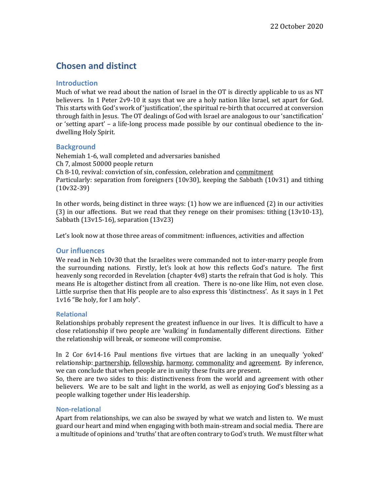# **Chosen and distinct**

# **Introduction**

Much of what we read about the nation of Israel in the OT is directly applicable to us as NT believers. In 1 Peter 2v9-10 it says that we are a holy nation like Israel, set apart for God. This starts with God's work of 'justification', the spiritual re-birth that occurred at conversion through faith in Jesus. The OT dealings of God with Israel are analogous to our 'sanctification' or 'setting apart' – a life-long process made possible by our continual obedience to the indwelling Holy Spirit.

# **Background**

Nehemiah 1-6, wall completed and adversaries banished Ch 7, almost 50000 people return Ch 8-10, revival: conviction of sin, confession, celebration and commitment Particularly: separation from foreigners  $(10v30)$ , keeping the Sabbath  $(10v31)$  and tithing (10v32-39)

In other words, being distinct in three ways:  $(1)$  how we are influenced  $(2)$  in our activities (3) in our affections. But we read that they renege on their promises: tithing  $(13v10-13)$ , Sabbath  $(13v15-16)$ , separation  $(13v23)$ 

Let's look now at those three areas of commitment: influences, activities and affection

## **Our influences**

We read in Neh 10v30 that the Israelites were commanded not to inter-marry people from the surrounding nations. Firstly, let's look at how this reflects God's nature. The first heavenly song recorded in Revelation (chapter  $4v8$ ) starts the refrain that God is holy. This means He is altogether distinct from all creation. There is no-one like Him, not even close. Little surprise then that His people are to also express this 'distinctness'. As it says in 1 Pet 1v16 "Be holy, for I am holy".

## **Relational**

Relationships probably represent the greatest influence in our lives. It is difficult to have a close relationship if two people are 'walking' in fundamentally different directions. Either the relationship will break, or someone will compromise.

In 2 Cor 6v14-16 Paul mentions five virtues that are lacking in an unequally 'voked' relationship: partnership, fellowship, harmony, commonality and <u>agreement</u>. By inference, we can conclude that when people are in unity these fruits are present.

So, there are two sides to this: distinctiveness from the world and agreement with other believers. We are to be salt and light in the world, as well as enjoying God's blessing as a people walking together under His leadership.

#### **Non-relational**

Apart from relationships, we can also be swayed by what we watch and listen to. We must guard our heart and mind when engaging with both main-stream and social media. There are a multitude of opinions and 'truths' that are often contrary to God's truth. We must filter what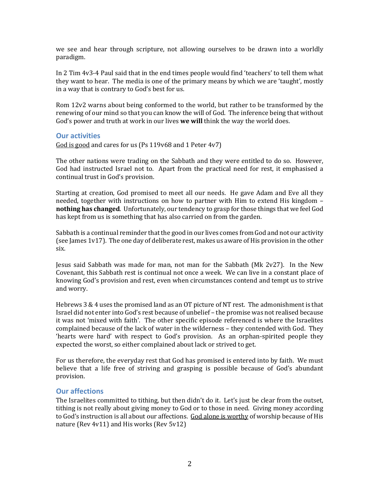we see and hear through scripture, not allowing ourselves to be drawn into a worldly paradigm. 

In 2 Tim 4v3-4 Paul said that in the end times people would find 'teachers' to tell them what they want to hear. The media is one of the primary means by which we are 'taught', mostly in a way that is contrary to God's best for us.

Rom  $12v2$  warns about being conformed to the world, but rather to be transformed by the renewing of our mind so that you can know the will of God. The inference being that without God's power and truth at work in our lives **we will** think the way the world does.

#### **Our activities**

God is good and cares for us (Ps  $119v68$  and 1 Peter  $4v7$ )

The other nations were trading on the Sabbath and they were entitled to do so. However, God had instructed Israel not to. Apart from the practical need for rest, it emphasised a continual trust in God's provision.

Starting at creation, God promised to meet all our needs. He gave Adam and Eve all they needed, together with instructions on how to partner with Him to extend His kingdom – **nothing has changed**. Unfortunately, our tendency to grasp for those things that we feel God has kept from us is something that has also carried on from the garden.

Sabbath is a continual reminder that the good in our lives comes from God and not our activity (see James  $1v17$ ). The one day of deliberate rest, makes us aware of His provision in the other six.

Jesus said Sabbath was made for man, not man for the Sabbath (Mk  $2v27$ ). In the New Covenant, this Sabbath rest is continual not once a week. We can live in a constant place of knowing God's provision and rest, even when circumstances contend and tempt us to strive and worry.

Hebrews 3 & 4 uses the promised land as an OT picture of NT rest. The admonishment is that Israel did not enter into God's rest because of unbelief - the promise was not realised because it was not 'mixed with faith'. The other specific episode referenced is where the Israelites complained because of the lack of water in the wilderness – they contended with God. They 'hearts were hard' with respect to God's provision. As an orphan-spirited people they expected the worst, so either complained about lack or strived to get.

For us therefore, the everyday rest that God has promised is entered into by faith. We must believe that a life free of striving and grasping is possible because of God's abundant provision.

#### **Our affections**

The Israelites committed to tithing, but then didn't do it. Let's just be clear from the outset, tithing is not really about giving money to God or to those in need. Giving money according to God's instruction is all about our affections. God alone is worthy of worship because of His nature (Rev  $4v11$ ) and His works (Rev  $5v12$ )